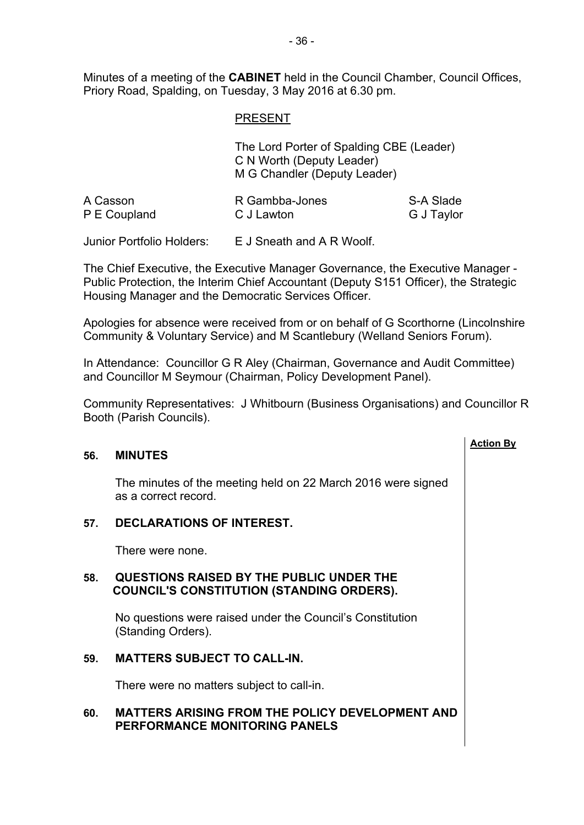Minutes of a meeting of the **CABINET** held in the Council Chamber, Council Offices, Priory Road, Spalding, on Tuesday, 3 May 2016 at 6.30 pm.

## PRESENT

The Lord Porter of Spalding CBE (Leader) C N Worth (Deputy Leader) M G Chandler (Deputy Leader)

| A Casson     | R Gambba-Jones | S-A Slade  |
|--------------|----------------|------------|
| P E Coupland | C J Lawton     | G J Taylor |

Junior Portfolio Holders: E J Sneath and A R Woolf.

The Chief Executive, the Executive Manager Governance, the Executive Manager - Public Protection, the Interim Chief Accountant (Deputy S151 Officer), the Strategic Housing Manager and the Democratic Services Officer.

Apologies for absence were received from or on behalf of G Scorthorne (Lincolnshire Community & Voluntary Service) and M Scantlebury (Welland Seniors Forum).

In Attendance: Councillor G R Aley (Chairman, Governance and Audit Committee) and Councillor M Seymour (Chairman, Policy Development Panel).

Community Representatives: J Whitbourn (Business Organisations) and Councillor R Booth (Parish Councils).

**Action By**

#### **56. MINUTES**

The minutes of the meeting held on 22 March 2016 were signed as a correct record.

## **57. DECLARATIONS OF INTEREST.**

There were none.

## **58. QUESTIONS RAISED BY THE PUBLIC UNDER THE COUNCIL'S CONSTITUTION (STANDING ORDERS).**

No questions were raised under the Council's Constitution (Standing Orders).

# **59. MATTERS SUBJECT TO CALL-IN.**

There were no matters subject to call-in.

#### **60. MATTERS ARISING FROM THE POLICY DEVELOPMENT AND PERFORMANCE MONITORING PANELS**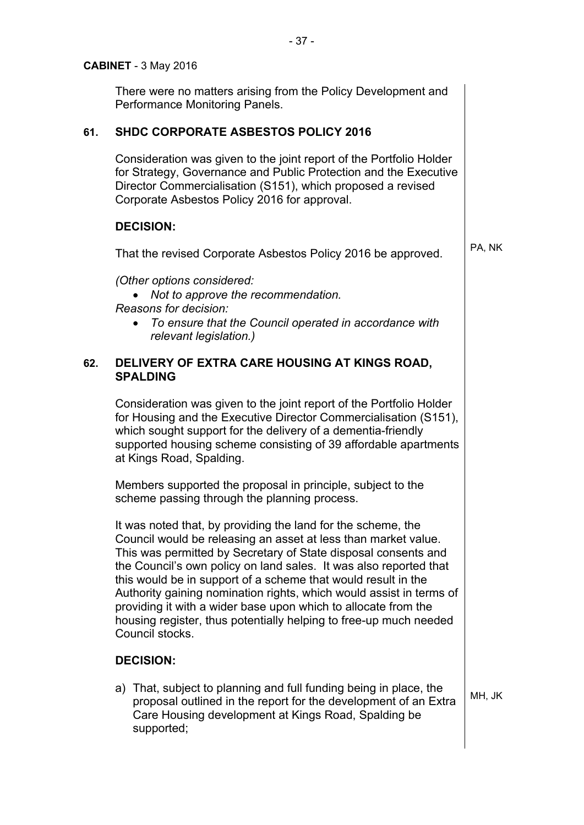|     | <b>CABINET</b> - 3 May 2016                                                                                                                                                                                                                                                                                                                                                                                                                                                                                                                                             |        |  |  |
|-----|-------------------------------------------------------------------------------------------------------------------------------------------------------------------------------------------------------------------------------------------------------------------------------------------------------------------------------------------------------------------------------------------------------------------------------------------------------------------------------------------------------------------------------------------------------------------------|--------|--|--|
|     | There were no matters arising from the Policy Development and<br>Performance Monitoring Panels.                                                                                                                                                                                                                                                                                                                                                                                                                                                                         |        |  |  |
| 61. | <b>SHDC CORPORATE ASBESTOS POLICY 2016</b>                                                                                                                                                                                                                                                                                                                                                                                                                                                                                                                              |        |  |  |
|     | Consideration was given to the joint report of the Portfolio Holder<br>for Strategy, Governance and Public Protection and the Executive<br>Director Commercialisation (S151), which proposed a revised<br>Corporate Asbestos Policy 2016 for approval.                                                                                                                                                                                                                                                                                                                  |        |  |  |
|     | <b>DECISION:</b>                                                                                                                                                                                                                                                                                                                                                                                                                                                                                                                                                        |        |  |  |
|     | That the revised Corporate Asbestos Policy 2016 be approved.                                                                                                                                                                                                                                                                                                                                                                                                                                                                                                            |        |  |  |
|     | (Other options considered:<br>Not to approve the recommendation.<br>Reasons for decision:<br>To ensure that the Council operated in accordance with<br>relevant legislation.)                                                                                                                                                                                                                                                                                                                                                                                           |        |  |  |
| 62. | DELIVERY OF EXTRA CARE HOUSING AT KINGS ROAD,<br><b>SPALDING</b>                                                                                                                                                                                                                                                                                                                                                                                                                                                                                                        |        |  |  |
|     | Consideration was given to the joint report of the Portfolio Holder<br>for Housing and the Executive Director Commercialisation (S151),<br>which sought support for the delivery of a dementia-friendly<br>supported housing scheme consisting of 39 affordable apartments<br>at Kings Road, Spalding.                                                                                                                                                                                                                                                                  |        |  |  |
|     | Members supported the proposal in principle, subject to the<br>scheme passing through the planning process.                                                                                                                                                                                                                                                                                                                                                                                                                                                             |        |  |  |
|     | It was noted that, by providing the land for the scheme, the<br>Council would be releasing an asset at less than market value.<br>This was permitted by Secretary of State disposal consents and<br>the Council's own policy on land sales. It was also reported that<br>this would be in support of a scheme that would result in the<br>Authority gaining nomination rights, which would assist in terms of<br>providing it with a wider base upon which to allocate from the<br>housing register, thus potentially helping to free-up much needed<br>Council stocks. |        |  |  |
|     | <b>DECISION:</b>                                                                                                                                                                                                                                                                                                                                                                                                                                                                                                                                                        |        |  |  |
|     | a) That, subject to planning and full funding being in place, the<br>proposal outlined in the report for the development of an Extra<br>Care Housing development at Kings Road, Spalding be<br>supported;                                                                                                                                                                                                                                                                                                                                                               | MH, JK |  |  |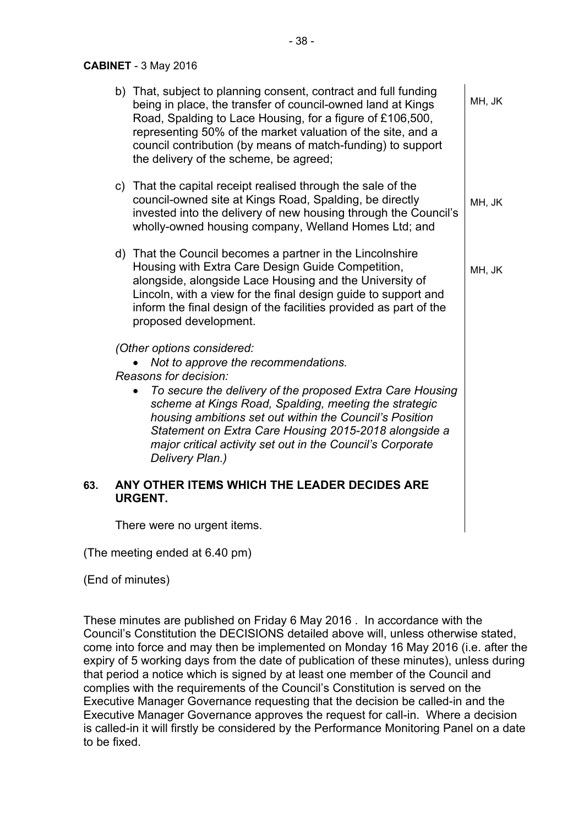#### **CABINET** - 3 May 2016

|     | b) That, subject to planning consent, contract and full funding<br>being in place, the transfer of council-owned land at Kings<br>Road, Spalding to Lace Housing, for a figure of £106,500,<br>representing 50% of the market valuation of the site, and a<br>council contribution (by means of match-funding) to support<br>the delivery of the scheme, be agreed;                                                   | MH, JK |
|-----|-----------------------------------------------------------------------------------------------------------------------------------------------------------------------------------------------------------------------------------------------------------------------------------------------------------------------------------------------------------------------------------------------------------------------|--------|
|     | c) That the capital receipt realised through the sale of the<br>council-owned site at Kings Road, Spalding, be directly<br>invested into the delivery of new housing through the Council's<br>wholly-owned housing company, Welland Homes Ltd; and                                                                                                                                                                    | MH, JK |
|     | d) That the Council becomes a partner in the Lincolnshire<br>Housing with Extra Care Design Guide Competition,<br>alongside, alongside Lace Housing and the University of<br>Lincoln, with a view for the final design guide to support and<br>inform the final design of the facilities provided as part of the<br>proposed development.                                                                             | MH, JK |
|     | (Other options considered:<br>Not to approve the recommendations.<br>Reasons for decision:<br>To secure the delivery of the proposed Extra Care Housing<br>scheme at Kings Road, Spalding, meeting the strategic<br>housing ambitions set out within the Council's Position<br>Statement on Extra Care Housing 2015-2018 alongside a<br>major critical activity set out in the Council's Corporate<br>Delivery Plan.) |        |
| 63. | ANY OTHER ITEMS WHICH THE LEADER DECIDES ARE<br><b>URGENT.</b>                                                                                                                                                                                                                                                                                                                                                        |        |
|     | There were no urgent items.                                                                                                                                                                                                                                                                                                                                                                                           |        |

(The meeting ended at 6.40 pm)

(End of minutes)

These minutes are published on Friday 6 May 2016 . In accordance with the Council's Constitution the DECISIONS detailed above will, unless otherwise stated, come into force and may then be implemented on Monday 16 May 2016 (i.e. after the expiry of 5 working days from the date of publication of these minutes), unless during that period a notice which is signed by at least one member of the Council and complies with the requirements of the Council's Constitution is served on the Executive Manager Governance requesting that the decision be called-in and the Executive Manager Governance approves the request for call-in. Where a decision is called-in it will firstly be considered by the Performance Monitoring Panel on a date to be fixed.